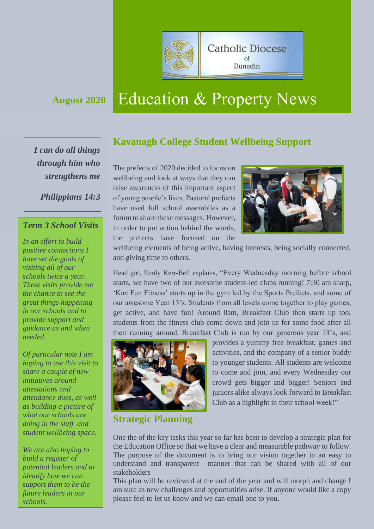

# **August <sup>2020</sup>** Education & Property News

*I can do all things through him who strengthens me*

*Philippians 14:3*

### *Term 3 School Visits*

*In an effort to build positive connections I have set the goals of visiting all of our schools twice a year. These visits provide me the chance to see the great things happening in our schools and to provide support and guidance as and when needed.* 

*Of particular note I am hoping to use this visit to share a couple of new initiatives around attestations and attendance dues, as well as building a picture of what our schools are doing in the staff and student wellbeing space.* 

*We are also hoping to build a register of potential leaders and to identify how we can support them to be the future leaders in our schools.* 

# **Kavanagh College Student Wellbeing Support**

The prefects of 2020 decided to focus on wellbeing and look at ways that they can raise awareness of this important aspect of young people's lives. Pastoral prefects have used full school assemblies as a forum to share these messages. However, in order to put action behind the words, the prefects have focused on the



wellbeing elements of being active, having interests, being socially connected, and giving time to others.

Head girl, Emily Kerr-Bell explains, "Every Wednesday morning before school starts, we have two of our awesome student-led clubs running! 7:30 am sharp, 'Kav Fun Fitness' starts up in the gym led by the Sports Prefects, and some of our awesome Year 13's. Students from all levels come together to play games, get active, and have fun! Around 8am, Breakfast Club then starts up too; students from the fitness club come down and join us for some food after all their running around. Breakfast Club is run by our generous year 13's, and



provides a yummy free breakfast, games and activities, and the company of a senior buddy to younger students. All students are welcome to come and join, and every Wednesday our crowd gets bigger and bigger! Seniors and juniors alike always look forward to Breakfast Club as a highlight in their school week!"

**Strategic Planning**

One the of the key tasks this year so far has been to develop a strategic plan for the Education Office so that we have a clear and measurable pathway to follow. The purpose of the document is to bring our vision together in an easy to understand and transparent manner that can be shared with all of our stakeholders

This plan will be reviewed at the end of the year and will morph and change I am sure as new challenges and opportunities arise. If anyone would like a copy please feel to let us know and we can email one to you.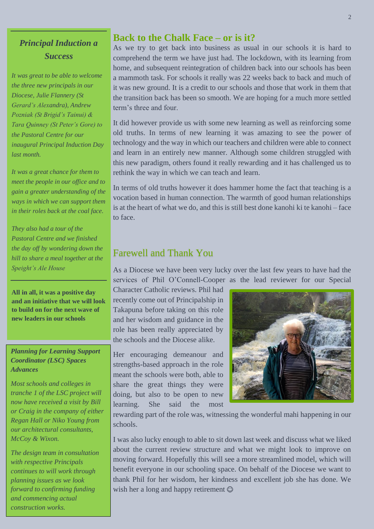# *Principal Induction a Success*

*It was great to be able to welcome the three new principals in our Diocese, Julie Flannery (St Gerard's Alexandra), Andrew Pozniak (St Brigid's Tainui) & Tara Quinney (St Peter's Gore) to the Pastoral Centre for our inaugural Principal Induction Day last month.*

*It was a great chance for them to meet the people in our office and to gain a greater understanding of the ways in which we can support them in their roles back at the coal face.* 

*They also had a tour of the Pastoral Centre and we finished the day off by wondering down the hill to share a meal together at the Speight's Ale House*

**All in all, it was a positive day and an initiative that we will look to build on for the next wave of new leaders in our schools**

#### *Planning for Learning Support Coordinator (LSC) Spaces Advances*

*Most schools and colleges in tranche 1 of the LSC project will now have received a visit by Bill or Craig in the company of either Regan Hall or Niko Young from our architectural consultants, McCoy & Wixon.* 

*The design team in consultation with respective Principals continues to will work through planning issues as we look forward to confirming funding and commencing actual construction works.*

# **Back to the Chalk Face – or is it?**

As we try to get back into business as usual in our schools it is hard to comprehend the term we have just had. The lockdown, with its learning from home, and subsequent reintegration of children back into our schools has been a mammoth task. For schools it really was 22 weeks back to back and much of it was new ground. It is a credit to our schools and those that work in them that the transition back has been so smooth. We are hoping for a much more settled term's three and four.

It did however provide us with some new learning as well as reinforcing some old truths. In terms of new learning it was amazing to see the power of technology and the way in which our teachers and children were able to connect and learn in an entirely new manner. Although some children struggled with this new paradigm, others found it really rewarding and it has challenged us to rethink the way in which we can teach and learn.

In terms of old truths however it does hammer home the fact that teaching is a vocation based in human connection. The warmth of good human relationships is at the heart of what we do, and this is still best done kanohi ki te kanohi – face to face.

# Farewell and Thank You

As a Diocese we have been very lucky over the last few years to have had the services of Phil O'Connell-Cooper as the lead reviewer for our Special

Character Catholic reviews. Phil had recently come out of Principalship in Takapuna before taking on this role and her wisdom and guidance in the role has been really appreciated by the schools and the Diocese alike.

Her encouraging demeanour and strengths-based approach in the role meant the schools were both, able to share the great things they were doing, but also to be open to new learning. She said the most



rewarding part of the role was, witnessing the wonderful mahi happening in our schools.

I was also lucky enough to able to sit down last week and discuss what we liked about the current review structure and what we might look to improve on moving forward. Hopefully this will see a more streamlined model, which will benefit everyone in our schooling space. On behalf of the Diocese we want to thank Phil for her wisdom, her kindness and excellent job she has done. We wish her a long and happy retirement  $\odot$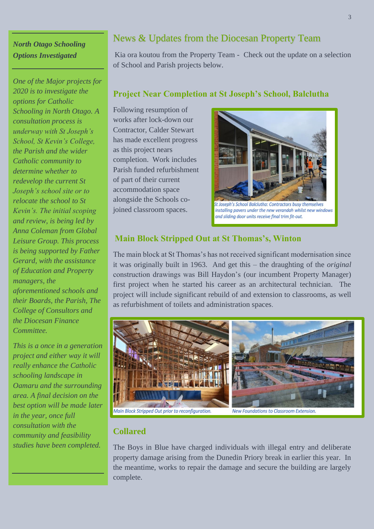# *North Otago Schooling Options Investigated*

*One of the Major projects for 2020 is to investigate the options for Catholic Schooling in North Otago. A consultation process is underway with St Joseph's School, St Kevin's College, the Parish and the wider Catholic community to determine whether to redevelop the current St Joseph's school site or to relocate the school to St Kevin's. The initial scoping and review, is being led by Anna Coleman from Global Leisure Group. This process is being supported by Father Gerard, with the assistance of Education and Property managers, the aforementioned schools and their Boards, the Parish, The College of Consultors and the Diocesan Finance Committee.* 

*This is a once in a generation project and either way it will really enhance the Catholic schooling landscape in Oamaru and the surrounding area. A final decision on the best option will be made later in the year, once full consultation with the community and feasibility studies have been completed.*

# News & Updates from the Diocesan Property Team

Kia ora koutou from the Property Team - Check out the update on a selection of School and Parish projects below.

### **Project Near Completion at St Joseph's School, Balclutha**

Following resumption of works after lock-down our Contractor, Calder Stewart has made excellent progress as this project nears completion. Work includes Parish funded refurbishment of part of their current accommodation space alongside the Schools cojoined classroom spaces.



## **Main Block Stripped Out at St Thomas's, Winton**

The main block at St Thomas's has not received significant modernisation since it was originally built in 1963. And get this – the draughting of the *original* construction drawings was Bill Haydon's (our incumbent Property Manager) first project when he started his career as an architectural technician. The project will include significant rebuild of and extension to classrooms, as well as refurbishment of toilets and administration spaces.



#### **Collared**

The Boys in Blue have charged individuals with illegal entry and deliberate property damage arising from the Dunedin Priory break in earlier this year. In the meantime, works to repair the damage and secure the building are largely complete.